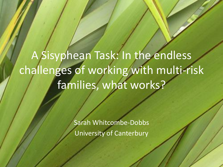A Sisyphean Task: In the endless challenges of working with multi-risk families, what works?

> Sarah Whitcombe-Dobbs University of Canterbury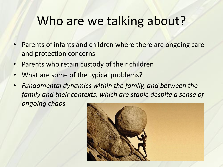## Who are we talking about?

- Parents of infants and children where there are ongoing care and protection concerns
- Parents who retain custody of their children
- What are some of the typical problems?
- *Fundamental dynamics within the family, and between the family and their contexts, which are stable despite a sense of ongoing chaos*

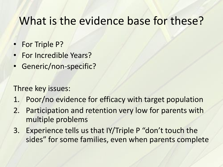#### What is the evidence base for these?

- For Triple P?
- For Incredible Years?
- Generic/non-specific?

Three key issues:

- 1. Poor/no evidence for efficacy with target population
- 2. Participation and retention very low for parents with multiple problems
- 3. Experience tells us that IY/Triple P "don't touch the sides" for some families, even when parents complete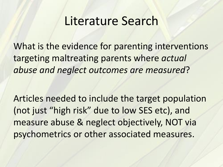#### Literature Search

What is the evidence for parenting interventions targeting maltreating parents where *actual abuse and neglect outcomes are measured*?

Articles needed to include the target population (not just "high risk" due to low SES etc), and measure abuse & neglect objectively, NOT via psychometrics or other associated measures.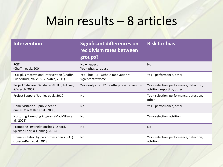# Main results – 8 articles

| <b>Intervention</b>                                                                   | <b>Significant differences on</b><br>recidivism rates between<br>groups? | <b>Risk for bias</b>                                                    |
|---------------------------------------------------------------------------------------|--------------------------------------------------------------------------|-------------------------------------------------------------------------|
| <b>PCIT</b><br>(Chaffin et al., 2004)                                                 | $No - neglect$<br>Yes - physical abuse                                   | N <sub>o</sub>                                                          |
| PCIT plus motivational intervention (Chaffin,<br>Funderburk, Valle, & Gurwitch, 2011) | Yes - but PCIT without motivation =<br>significantly worse               | Yes-performance, other                                                  |
| Project Safecare (Gershater-Molko, Lutzker,<br>& Wesch, 2002)                         | Yes - only after 12 months post-intervention                             | Yes - selection, performance, detection,<br>attrition, reporting, other |
| Project Support (Jouriles et al., 2010)                                               | No                                                                       | Yes - selection, performance, detection,<br>other                       |
| Home visitation - public health<br>nurses(MacMillan et al., 2005)                     | <b>No</b>                                                                | Yes-performance, other                                                  |
| Nurturing Parenting Program (MacMillan et<br>al., 2005)                               | No                                                                       | Yes-selection, attrition                                                |
| Promoting First Relationships (Oxford,<br>Spieker, Lohr, & Fleming, 2016)             | <b>No</b>                                                                | <b>No</b>                                                               |
| Home Visitation by paraprofessionals (PAT)<br>(Jonson-Reid et al., 2018)              | No                                                                       | Yes - selection, performance, detection,<br>attrition                   |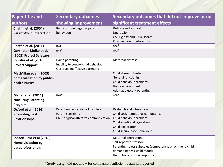| <b>Paper title and</b>                                                 | <b>Secondary outcomes</b>                                                                       | Secondary outcomes that did not improve or no                                                                                                                                       |
|------------------------------------------------------------------------|-------------------------------------------------------------------------------------------------|-------------------------------------------------------------------------------------------------------------------------------------------------------------------------------------|
| authors                                                                | showing improvement                                                                             | significant treatment effects                                                                                                                                                       |
| Chaffin et al. (2004)<br><b>Parent-Child Interaction</b>               | Reductions in negative parent<br>behaviours                                                     | Distress and support<br>Depression<br>CAP rigidity and BASC scores<br>Positive parent behaviours                                                                                    |
| Chaffin et al. (2011)                                                  | $n/a*$                                                                                          | $n/a*$                                                                                                                                                                              |
| Gershater-Molko et al.<br>(2002) Project Safecare                      | $n/a*$                                                                                          | $n/a*$                                                                                                                                                                              |
| Jouriles et al. (2010)<br><b>Project Support</b>                       | Harsh parenting<br>Inability to control child behaviour<br>Observed ineffective parenting       | <b>Maternal distress</b>                                                                                                                                                            |
| MacMillan et al. (2005)<br>home visitation by public-<br>health nurses |                                                                                                 | Child abuse potential<br>General functioning<br>Child behaviour problems<br>Home environment<br>Adult adolescent parenting                                                          |
| Maher et al. (2011)<br><b>Nurturing Parenting</b><br>Program           | $n/a*$                                                                                          | $n/a*$                                                                                                                                                                              |
| Oxford et al. (2016)<br><b>Promoting First</b><br><b>Relationships</b> | Parent understandingof toddlers<br>Parent sensitivity<br>Child atypical affective communication | <b>Dysfunctional interaction</b><br>Child social-emotional competence<br>Child behaviour problems<br>Child emotional regulation<br>Child exploration<br>Child secure base behaviour |
| Jonson-Reid et al (2018)<br>Home visitation by<br>paraprofessionals    |                                                                                                 | Maternal depression<br>Self-reported stressors<br>Parenting-stress subscales (competency, attachment, child<br>demandingness, child mood)<br>Helpfulness of social supports         |

\*Study design did not allow for comparison/sufficient detail not reported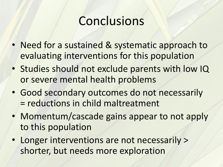## **Conclusions**

- Need for a sustained & systematic approach to evaluating interventions for this population
- Studies should not exclude parents with low IQ or severe mental health problems
- Good secondary outcomes do not necessarily = reductions in child maltreatment
- Momentum/cascade gains appear to not apply to this population
- Longer interventions are not necessarily > shorter, but needs more exploration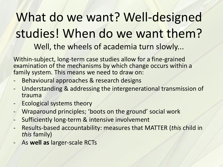# What do we want? Well-designed studies! When do we want them? Well, the wheels of academia turn slowly...

Within-subject, long-term case studies allow for a fine-grained examination of the mechanisms by which change occurs within a family system. This means we need to draw on:

- Behavioural approaches & research designs
- Understanding & addressing the intergenerational transmission of trauma
- Ecological systems theory
- Wraparound principles; 'boots on the ground' social work
- Sufficiently long-term & intensive involvement
- Results-based accountability: measures that MATTER (*this* child in *this* family)
- As **well as** larger-scale RCTs